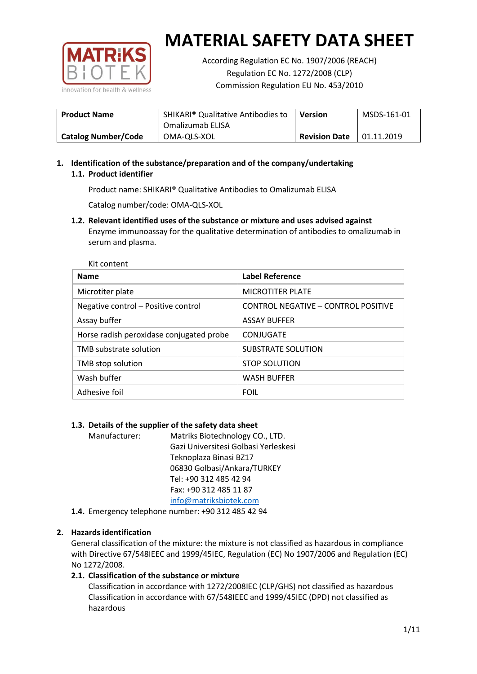

According Regulation EC No. 1907/2006 (REACH) Regulation EC No. 1272/2008 (CLP) Commission Regulation EU No. 453/2010

| <b>Product Name</b>        | SHIKARI <sup>®</sup> Qualitative Antibodies to<br>Omalizumab ELISA | <b>Version</b>       | MSDS-161-01 |
|----------------------------|--------------------------------------------------------------------|----------------------|-------------|
| <b>Catalog Number/Code</b> | OMA-QLS-XOL                                                        | <b>Revision Date</b> | 01.11.2019  |

## **1. Identification of the substance/preparation and of the company/undertaking 1.1. Product identifier**

Product name: SHIKARI® Qualitative Antibodies to Omalizumab ELISA

Catalog number/code: OMA-QLS-XOL

**1.2. Relevant identified uses of the substance or mixture and uses advised against** Enzyme immunoassay for the qualitative determination of antibodies to omalizumab in serum and plasma.

| Kit content                              |                                     |
|------------------------------------------|-------------------------------------|
| <b>Name</b>                              | <b>Label Reference</b>              |
| Microtiter plate                         | <b>MICROTITER PLATE</b>             |
| Negative control - Positive control      | CONTROL NEGATIVE - CONTROL POSITIVE |
| Assay buffer                             | <b>ASSAY BUFFER</b>                 |
| Horse radish peroxidase conjugated probe | CONJUGATE                           |
| TMB substrate solution                   | <b>SUBSTRATE SOLUTION</b>           |
| TMB stop solution                        | <b>STOP SOLUTION</b>                |
| Wash buffer                              | <b>WASH BUFFER</b>                  |
| Adhesive foil                            | <b>FOIL</b>                         |

## **1.3. Details of the supplier of the safety data sheet**

Manufacturer: Matriks Biotechnology CO., LTD. Gazi Universitesi Golbasi Yerleskesi Teknoplaza Binasi BZ17 06830 Golbasi/Ankara/TURKEY Tel: +90 312 485 42 94 Fax: +90 312 485 11 87 [info@matriksbiotek.com](mailto:info@matriksbiotek.com)

**1.4.** Emergency telephone number: +90 312 485 42 94

## **2. Hazards identification**

General classification of the mixture: the mixture is not classified as hazardous in compliance with Directive 67/548IEEC and 1999/45IEC, Regulation (EC) No 1907/2006 and Regulation (EC) No 1272/2008.

## **2.1. Classification of the substance or mixture**

Classification in accordance with 1272/2008IEC (CLP/GHS) not classified as hazardous Classification in accordance with 67/548IEEC and 1999/45IEC (DPD) not classified as hazardous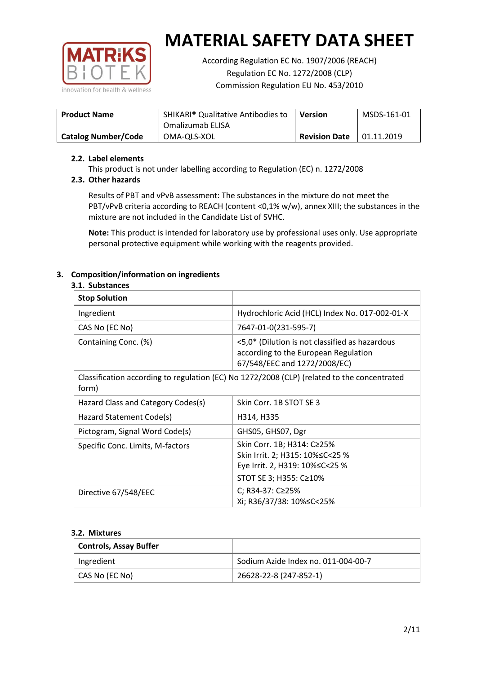

According Regulation EC No. 1907/2006 (REACH) Regulation EC No. 1272/2008 (CLP) Commission Regulation EU No. 453/2010

| <b>Product Name</b>        | SHIKARI <sup>®</sup> Qualitative Antibodies to<br>Omalizumab ELISA | Version              | MSDS-161-01 |
|----------------------------|--------------------------------------------------------------------|----------------------|-------------|
| <b>Catalog Number/Code</b> | OMA-QLS-XOL                                                        | <b>Revision Date</b> | 01.11.2019  |

#### **2.2. Label elements**

This product is not under labelling according to Regulation (EC) n. 1272/2008

#### **2.3. Other hazards**

Results of PBT and vPvB assessment: The substances in the mixture do not meet the PBT/vPvB criteria according to REACH (content <0,1% w/w), annex XIII; the substances in the mixture are not included in the Candidate List of SVHC.

**Note:** This product is intended for laboratory use by professional uses only. Use appropriate personal protective equipment while working with the reagents provided.

## **3. Composition/information on ingredients**

#### **3.1. Substances**

| <b>Stop Solution</b>                                                                                 |                                                                                                                               |
|------------------------------------------------------------------------------------------------------|-------------------------------------------------------------------------------------------------------------------------------|
| Ingredient                                                                                           | Hydrochloric Acid (HCL) Index No. 017-002-01-X                                                                                |
| CAS No (EC No)                                                                                       | 7647-01-0(231-595-7)                                                                                                          |
| Containing Conc. (%)                                                                                 | <5,0* (Dilution is not classified as hazardous<br>according to the European Regulation<br>67/548/EEC and 1272/2008/EC)        |
| Classification according to regulation (EC) No 1272/2008 (CLP) (related to the concentrated<br>form) |                                                                                                                               |
| Hazard Class and Category Codes(s)                                                                   | Skin Corr. 1B STOT SE 3                                                                                                       |
| Hazard Statement Code(s)                                                                             | H314, H335                                                                                                                    |
| Pictogram, Signal Word Code(s)                                                                       | GHS05, GHS07, Dgr                                                                                                             |
| Specific Conc. Limits, M-factors                                                                     | Skin Corr. 1B; H314: C≥25%<br>Skin Irrit. 2; H315: 10% ≤ C < 25 %<br>Eye Irrit. 2, H319: 10%≤C<25 %<br>STOT SE 3; H355: C≥10% |
| Directive 67/548/EEC                                                                                 | C; R34-37: C≥25%<br>Xi; R36/37/38: 10% <<<<<<<                                                                                |

#### **3.2. Mixtures**

| <b>Controls, Assay Buffer</b> |                                     |
|-------------------------------|-------------------------------------|
| Ingredient                    | Sodium Azide Index no. 011-004-00-7 |
| CAS No (EC No)                | 26628-22-8 (247-852-1)              |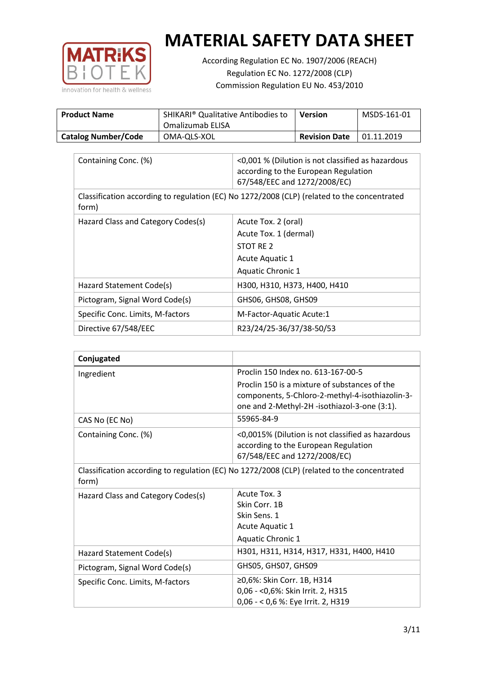

According Regulation EC No. 1907/2006 (REACH) Regulation EC No. 1272/2008 (CLP) Commission Regulation EU No. 453/2010

| <b>Product Name</b>        | SHIKARI <sup>®</sup> Qualitative Antibodies to<br>Omalizumab ELISA | Version              | MSDS-161-01 |
|----------------------------|--------------------------------------------------------------------|----------------------|-------------|
| <b>Catalog Number/Code</b> | OMA-QLS-XOL                                                        | <b>Revision Date</b> | 01.11.2019  |

| Containing Conc. (%)                                                                                 | <0,001 % (Dilution is not classified as hazardous<br>according to the European Regulation<br>67/548/EEC and 1272/2008/EC) |  |
|------------------------------------------------------------------------------------------------------|---------------------------------------------------------------------------------------------------------------------------|--|
| Classification according to regulation (EC) No 1272/2008 (CLP) (related to the concentrated<br>form) |                                                                                                                           |  |
| Hazard Class and Category Codes(s)                                                                   | Acute Tox. 2 (oral)                                                                                                       |  |
|                                                                                                      | Acute Tox. 1 (dermal)                                                                                                     |  |
|                                                                                                      | STOT RE 2                                                                                                                 |  |
|                                                                                                      | Acute Aquatic 1                                                                                                           |  |
|                                                                                                      | Aquatic Chronic 1                                                                                                         |  |
| Hazard Statement Code(s)                                                                             | H300, H310, H373, H400, H410                                                                                              |  |
| Pictogram, Signal Word Code(s)                                                                       | GHS06, GHS08, GHS09                                                                                                       |  |
| Specific Conc. Limits, M-factors                                                                     | M-Factor-Aquatic Acute:1                                                                                                  |  |
| Directive 67/548/EEC                                                                                 | R23/24/25-36/37/38-50/53                                                                                                  |  |

| Conjugated                         |                                                                                                                                                  |
|------------------------------------|--------------------------------------------------------------------------------------------------------------------------------------------------|
| Ingredient                         | Proclin 150 Index no. 613-167-00-5                                                                                                               |
|                                    | Proclin 150 is a mixture of substances of the<br>components, 5-Chloro-2-methyl-4-isothiazolin-3-<br>one and 2-Methyl-2H -isothiazol-3-one (3:1). |
| CAS No (EC No)                     | 55965-84-9                                                                                                                                       |
| Containing Conc. (%)               | <0,0015% (Dilution is not classified as hazardous<br>according to the European Regulation<br>67/548/EEC and 1272/2008/EC)                        |
| form)                              | Classification according to regulation (EC) No 1272/2008 (CLP) (related to the concentrated                                                      |
| Hazard Class and Category Codes(s) | Acute Tox. 3                                                                                                                                     |
|                                    | Skin Corr. 1B                                                                                                                                    |
|                                    | Skin Sens. 1                                                                                                                                     |
|                                    | <b>Acute Aquatic 1</b>                                                                                                                           |
|                                    | Aquatic Chronic 1                                                                                                                                |
| Hazard Statement Code(s)           | H301, H311, H314, H317, H331, H400, H410                                                                                                         |
| Pictogram, Signal Word Code(s)     | GHS05, GHS07, GHS09                                                                                                                              |
| Specific Conc. Limits, M-factors   | ≥0,6%: Skin Corr. 1B, H314<br>0,06 - < 0,6%: Skin Irrit. 2, H315<br>0,06 - < 0,6 %: Eye Irrit. 2, H319                                           |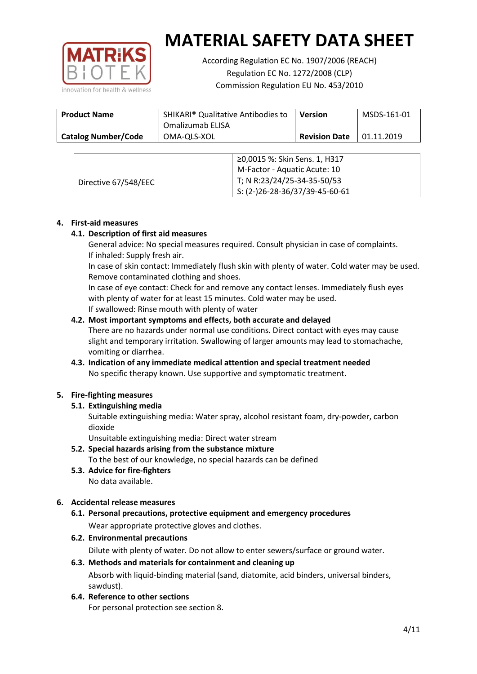

According Regulation EC No. 1907/2006 (REACH) Regulation EC No. 1272/2008 (CLP) Commission Regulation EU No. 453/2010

| <b>Product Name</b>        | SHIKARI <sup>®</sup> Qualitative Antibodies to<br>Omalizumab ELISA | <b>Version</b>       | MSDS-161-01 |
|----------------------------|--------------------------------------------------------------------|----------------------|-------------|
| <b>Catalog Number/Code</b> | OMA-QLS-XOL                                                        | <b>Revision Date</b> | 01.11.2019  |

|                      | ≥0,0015 %: Skin Sens. 1, H317    |
|----------------------|----------------------------------|
|                      | M-Factor - Aquatic Acute: 10     |
| Directive 67/548/EEC | T; N R:23/24/25-34-35-50/53      |
|                      | $5: (2-)26-28-36/37/39-45-60-61$ |

#### **4. First-aid measures**

#### **4.1. Description of first aid measures**

General advice: No special measures required. Consult physician in case of complaints. If inhaled: Supply fresh air.

In case of skin contact: Immediately flush skin with plenty of water. Cold water may be used. Remove contaminated clothing and shoes.

In case of eye contact: Check for and remove any contact lenses. Immediately flush eyes with plenty of water for at least 15 minutes. Cold water may be used. If swallowed: Rinse mouth with plenty of water

#### **4.2. Most important symptoms and effects, both accurate and delayed**

There are no hazards under normal use conditions. Direct contact with eyes may cause slight and temporary irritation. Swallowing of larger amounts may lead to stomachache, vomiting or diarrhea.

## **4.3. Indication of any immediate medical attention and special treatment needed** No specific therapy known. Use supportive and symptomatic treatment.

## **5. Fire-fighting measures**

## **5.1. Extinguishing media**

Suitable extinguishing media: Water spray, alcohol resistant foam, dry-powder, carbon dioxide

Unsuitable extinguishing media: Direct water stream

- **5.2. Special hazards arising from the substance mixture** To the best of our knowledge, no special hazards can be defined
- **5.3. Advice for fire-fighters** No data available.

## **6. Accidental release measures**

- **6.1. Personal precautions, protective equipment and emergency procedures** Wear appropriate protective gloves and clothes.
- **6.2. Environmental precautions**

Dilute with plenty of water. Do not allow to enter sewers/surface or ground water.

#### **6.3. Methods and materials for containment and cleaning up**

Absorb with liquid-binding material (sand, diatomite, acid binders, universal binders, sawdust).

**6.4. Reference to other sections**

For personal protection see section 8.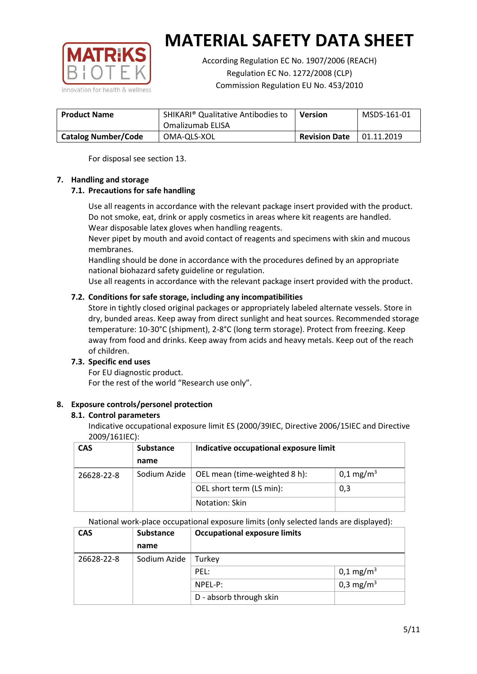

According Regulation EC No. 1907/2006 (REACH) Regulation EC No. 1272/2008 (CLP) Commission Regulation EU No. 453/2010

| <b>Product Name</b>        | <b>SHIKARI<sup>®</sup> Qualitative Antibodies to</b><br>Omalizumab ELISA | <b>Version</b>       | MSDS-161-01 |
|----------------------------|--------------------------------------------------------------------------|----------------------|-------------|
| <b>Catalog Number/Code</b> | OMA-QLS-XOL                                                              | <b>Revision Date</b> | 01.11.2019  |

For disposal see section 13.

## **7. Handling and storage**

## **7.1. Precautions for safe handling**

Use all reagents in accordance with the relevant package insert provided with the product. Do not smoke, eat, drink or apply cosmetics in areas where kit reagents are handled. Wear disposable latex gloves when handling reagents.

Never pipet by mouth and avoid contact of reagents and specimens with skin and mucous membranes.

Handling should be done in accordance with the procedures defined by an appropriate national biohazard safety guideline or regulation.

Use all reagents in accordance with the relevant package insert provided with the product.

## **7.2. Conditions for safe storage, including any incompatibilities**

Store in tightly closed original packages or appropriately labeled alternate vessels. Store in dry, bunded areas. Keep away from direct sunlight and heat sources. Recommended storage temperature: 10-30°C (shipment), 2-8°C (long term storage). Protect from freezing. Keep away from food and drinks. Keep away from acids and heavy metals. Keep out of the reach of children.

## **7.3. Specific end uses**

For EU diagnostic product. For the rest of the world "Research use only".

## **8. Exposure controls/personel protection**

#### **8.1. Control parameters**

Indicative occupational exposure limit ES (2000/39IEC, Directive 2006/15IEC and Directive 2009/161IEC):

| <b>CAS</b> | <b>Substance</b> | Indicative occupational exposure limit |                         |
|------------|------------------|----------------------------------------|-------------------------|
|            | name             |                                        |                         |
| 26628-22-8 | Sodium Azide     | OEL mean (time-weighted 8 h):          | $0,1 \,\mathrm{mg/m^3}$ |
|            |                  | OEL short term (LS min):               | 0,3                     |
|            |                  | Notation: Skin                         |                         |

National work-place occupational exposure limits (only selected lands are displayed):

| <b>CAS</b> | <b>Substance</b> | <b>Occupational exposure limits</b> |                         |
|------------|------------------|-------------------------------------|-------------------------|
|            | name             |                                     |                         |
| 26628-22-8 | Sodium Azide     | Turkey                              |                         |
|            |                  | PEL:                                | $0,1 \,\mathrm{mg/m^3}$ |
|            |                  | $NPEL-P$ :                          | 0,3 mg/m <sup>3</sup>   |
|            |                  | D - absorb through skin             |                         |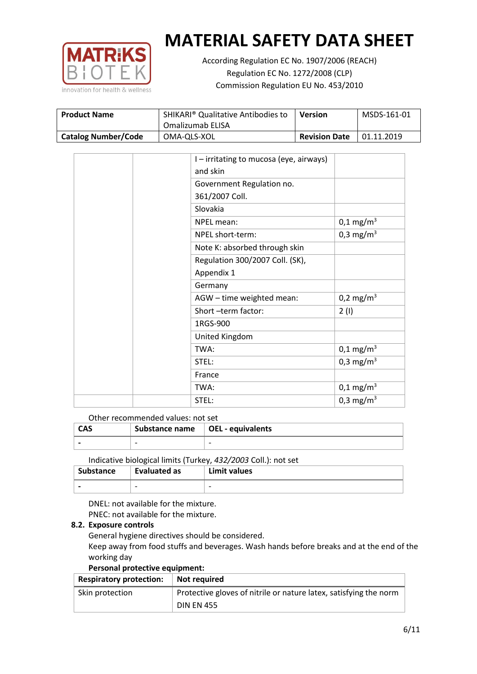

According Regulation EC No. 1907/2006 (REACH) Regulation EC No. 1272/2008 (CLP) Commission Regulation EU No. 453/2010

| <b>Product Name</b>        | SHIKARI <sup>®</sup> Qualitative Antibodies to<br>Omalizumab ELISA | <b>Version</b>       | MSDS-161-01 |
|----------------------------|--------------------------------------------------------------------|----------------------|-------------|
| <b>Catalog Number/Code</b> | OMA-QLS-XOL                                                        | <b>Revision Date</b> | 01.11.2019  |

| I-irritating to mucosa (eye, airways) |                       |
|---------------------------------------|-----------------------|
| and skin                              |                       |
| Government Regulation no.             |                       |
| 361/2007 Coll.                        |                       |
| Slovakia                              |                       |
| NPEL mean:                            | $0,1 \text{ mg/m}^3$  |
| NPEL short-term:                      | 0,3 mg/m <sup>3</sup> |
| Note K: absorbed through skin         |                       |
| Regulation 300/2007 Coll. (SK),       |                       |
| Appendix 1                            |                       |
| Germany                               |                       |
| AGW - time weighted mean:             | 0,2 mg/m <sup>3</sup> |
| Short-term factor:                    | 2(1)                  |
| 1RGS-900                              |                       |
| United Kingdom                        |                       |
| TWA:                                  | $0,1 \text{ mg/m}^3$  |
| STEL:                                 | 0,3 mg/m <sup>3</sup> |
| France                                |                       |
| TWA:                                  | $0,1 \text{ mg/m}^3$  |
| STEL:                                 | 0,3 mg/m <sup>3</sup> |

#### Other recommended values: not set

| <b>CAS</b> | Substance name $\vert$ OEL - equivalents |   |
|------------|------------------------------------------|---|
|            | $\overline{\phantom{0}}$                 | - |
|            |                                          |   |

Indicative biological limits (Turkey, *432/2003* Coll.): not set

| <b>Substance</b> | Evaluated as             | Limit values             |
|------------------|--------------------------|--------------------------|
|                  | $\overline{\phantom{0}}$ | $\overline{\phantom{0}}$ |

DNEL: not available for the mixture. PNEC: not available for the mixture.

#### **8.2. Exposure controls**

General hygiene directives should be considered.

Keep away from food stuffs and beverages. Wash hands before breaks and at the end of the working day

#### **Personal protective equipment:**

| <b>Respiratory protection:</b> | Not required                                                      |
|--------------------------------|-------------------------------------------------------------------|
| Skin protection                | Protective gloves of nitrile or nature latex, satisfying the norm |
|                                | <b>DIN EN 455</b>                                                 |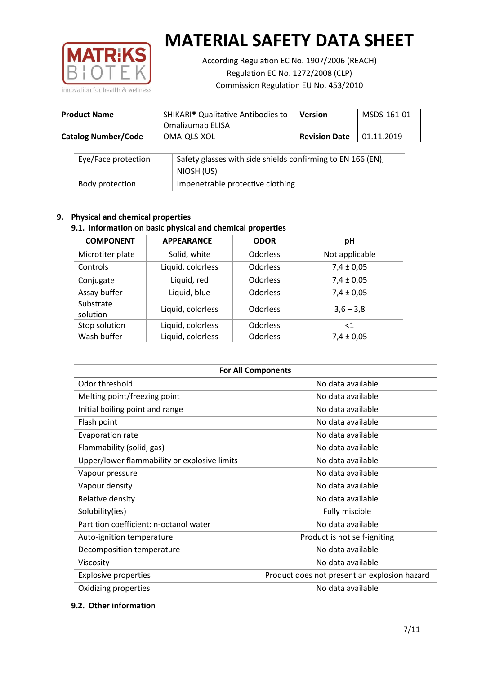

According Regulation EC No. 1907/2006 (REACH) Regulation EC No. 1272/2008 (CLP) Commission Regulation EU No. 453/2010

| <b>Product Name</b>        | SHIKARI <sup>®</sup> Qualitative Antibodies to<br>Omalizumab ELISA | <b>Version</b>       | MSDS-161-01 |
|----------------------------|--------------------------------------------------------------------|----------------------|-------------|
| <b>Catalog Number/Code</b> | OMA-QLS-XOL                                                        | <b>Revision Date</b> | 01.11.2019  |

| Eye/Face protection | Safety glasses with side shields confirming to EN 166 (EN),<br>NIOSH (US) |
|---------------------|---------------------------------------------------------------------------|
| Body protection     | Impenetrable protective clothing                                          |

## **9. Physical and chemical properties**

## **9.1. Information on basic physical and chemical properties**

| <b>COMPONENT</b>      | <b>APPEARANCE</b> | <b>ODOR</b>     | pH             |
|-----------------------|-------------------|-----------------|----------------|
| Microtiter plate      | Solid, white      | Odorless        | Not applicable |
| Controls              | Liquid, colorless | Odorless        | $7,4 \pm 0,05$ |
| Conjugate             | Liquid, red       | Odorless        | $7,4 \pm 0,05$ |
| Assay buffer          | Liquid, blue      | <b>Odorless</b> | $7,4 \pm 0,05$ |
| Substrate<br>solution | Liquid, colorless | Odorless        | $3,6 - 3,8$    |
| Stop solution         | Liquid, colorless | <b>Odorless</b> | $<$ 1          |
| Wash buffer           | Liquid, colorless | Odorless        | $7,4 \pm 0,05$ |

| <b>For All Components</b>                    |                                              |  |  |
|----------------------------------------------|----------------------------------------------|--|--|
| Odor threshold                               | No data available                            |  |  |
| Melting point/freezing point                 | No data available                            |  |  |
| Initial boiling point and range              | No data available                            |  |  |
| Flash point                                  | No data available                            |  |  |
| <b>Evaporation rate</b>                      | No data available                            |  |  |
| Flammability (solid, gas)                    | No data available                            |  |  |
| Upper/lower flammability or explosive limits | No data available                            |  |  |
| Vapour pressure                              | No data available                            |  |  |
| Vapour density                               | No data available                            |  |  |
| Relative density                             | No data available                            |  |  |
| Solubility(ies)                              | Fully miscible                               |  |  |
| Partition coefficient: n-octanol water       | No data available                            |  |  |
| Auto-ignition temperature                    | Product is not self-igniting                 |  |  |
| Decomposition temperature                    | No data available                            |  |  |
| Viscosity                                    | No data available                            |  |  |
| <b>Explosive properties</b>                  | Product does not present an explosion hazard |  |  |
| Oxidizing properties                         | No data available                            |  |  |

## **9.2. Other information**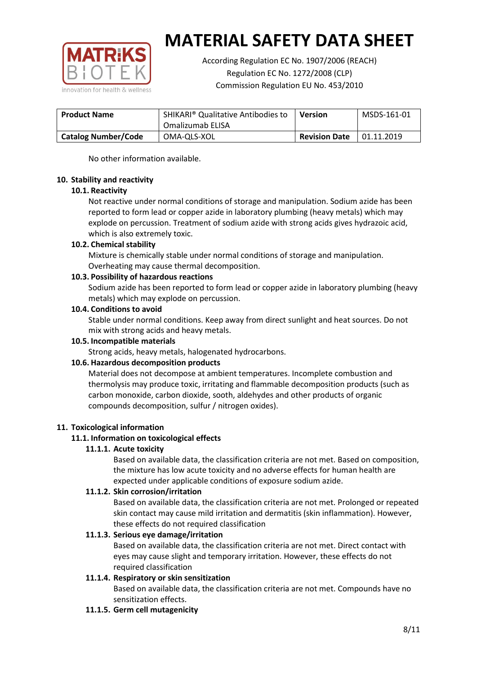

According Regulation EC No. 1907/2006 (REACH) Regulation EC No. 1272/2008 (CLP) Commission Regulation EU No. 453/2010

| <b>Product Name</b>        | SHIKARI <sup>®</sup> Qualitative Antibodies to<br>Omalizumab ELISA | <b>Version</b>       | MSDS-161-01 |
|----------------------------|--------------------------------------------------------------------|----------------------|-------------|
| <b>Catalog Number/Code</b> | OMA-QLS-XOL                                                        | <b>Revision Date</b> | 01.11.2019  |

No other information available.

#### **10. Stability and reactivity**

#### **10.1. Reactivity**

Not reactive under normal conditions of storage and manipulation. Sodium azide has been reported to form lead or copper azide in laboratory plumbing (heavy metals) which may explode on percussion. Treatment of sodium azide with strong acids gives hydrazoic acid, which is also extremely toxic.

#### **10.2. Chemical stability**

Mixture is chemically stable under normal conditions of storage and manipulation. Overheating may cause thermal decomposition.

#### **10.3. Possibility of hazardous reactions**

Sodium azide has been reported to form lead or copper azide in laboratory plumbing (heavy metals) which may explode on percussion.

#### **10.4. Conditions to avoid**

Stable under normal conditions. Keep away from direct sunlight and heat sources. Do not mix with strong acids and heavy metals.

#### **10.5. Incompatible materials**

Strong acids, heavy metals, halogenated hydrocarbons.

## **10.6. Hazardous decomposition products**

Material does not decompose at ambient temperatures. Incomplete combustion and thermolysis may produce toxic, irritating and flammable decomposition products (such as carbon monoxide, carbon dioxide, sooth, aldehydes and other products of organic compounds decomposition, sulfur / nitrogen oxides).

## **11. Toxicological information**

## **11.1. Information on toxicological effects**

#### **11.1.1. Acute toxicity**

Based on available data, the classification criteria are not met. Based on composition, the mixture has low acute toxicity and no adverse effects for human health are expected under applicable conditions of exposure sodium azide.

#### **11.1.2. Skin corrosion/irritation**

Based on available data, the classification criteria are not met. Prolonged or repeated skin contact may cause mild irritation and dermatitis (skin inflammation). However, these effects do not required classification

## **11.1.3. Serious eye damage/irritation**

Based on available data, the classification criteria are not met. Direct contact with eyes may cause slight and temporary irritation. However, these effects do not required classification

## **11.1.4. Respiratory or skin sensitization**

Based on available data, the classification criteria are not met. Compounds have no sensitization effects.

#### **11.1.5. Germ cell mutagenicity**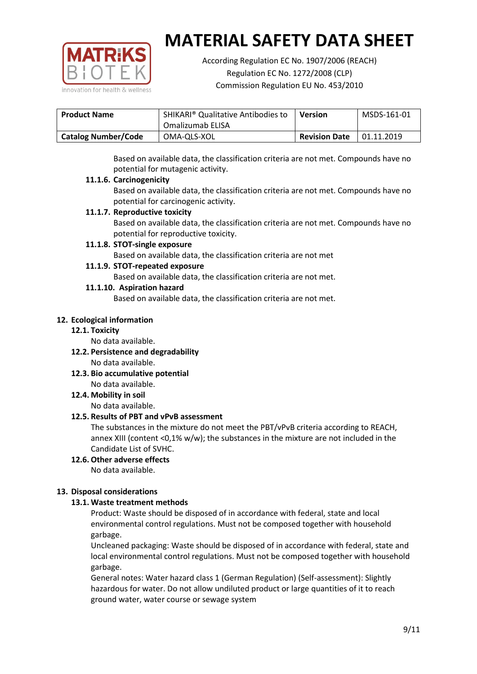

According Regulation EC No. 1907/2006 (REACH) Regulation EC No. 1272/2008 (CLP) Commission Regulation EU No. 453/2010

| <b>SHIKARI</b> <sup>®</sup> Qualitative Antibodies to<br><b>Product Name</b> |                  | <b>Version</b>       | MSDS-161-01 |
|------------------------------------------------------------------------------|------------------|----------------------|-------------|
|                                                                              | Omalizumab ELISA |                      |             |
| <b>Catalog Number/Code</b>                                                   | OMA-QLS-XOL      | <b>Revision Date</b> | 01.11.2019  |

Based on available data, the classification criteria are not met. Compounds have no potential for mutagenic activity.

#### **11.1.6. Carcinogenicity**

Based on available data, the classification criteria are not met. Compounds have no potential for carcinogenic activity.

#### **11.1.7. Reproductive toxicity**

Based on available data, the classification criteria are not met. Compounds have no potential for reproductive toxicity.

#### **11.1.8. STOT-single exposure**

Based on available data, the classification criteria are not met

#### **11.1.9. STOT-repeated exposure**

Based on available data, the classification criteria are not met.

#### **11.1.10. Aspiration hazard**

Based on available data, the classification criteria are not met.

#### **12. Ecological information**

#### **12.1. Toxicity**

No data available.

- **12.2. Persistence and degradability** No data available.
- **12.3. Bio accumulative potential** No data available.

**12.4. Mobility in soil**

No data available.

## **12.5. Results of PBT and vPvB assessment**

The substances in the mixture do not meet the PBT/vPvB criteria according to REACH, annex XIII (content <0,1% w/w); the substances in the mixture are not included in the Candidate List of SVHC.

#### **12.6. Other adverse effects** No data available.

## **13. Disposal considerations**

## **13.1. Waste treatment methods**

Product: Waste should be disposed of in accordance with federal, state and local environmental control regulations. Must not be composed together with household garbage.

Uncleaned packaging: Waste should be disposed of in accordance with federal, state and local environmental control regulations. Must not be composed together with household garbage.

General notes: Water hazard class 1 (German Regulation) (Self-assessment): Slightly hazardous for water. Do not allow undiluted product or large quantities of it to reach ground water, water course or sewage system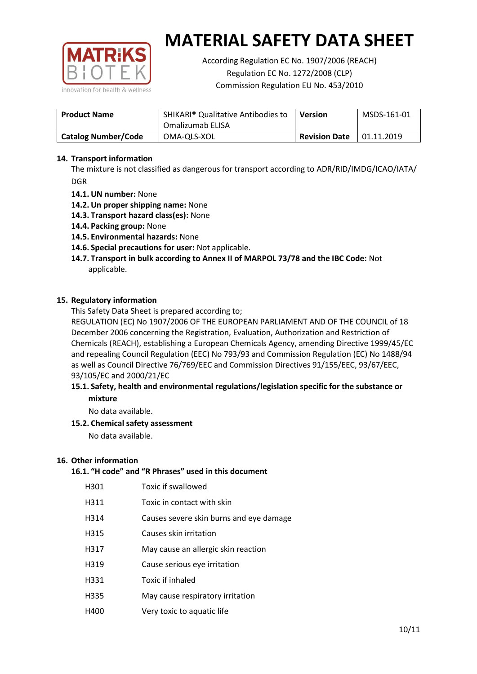

According Regulation EC No. 1907/2006 (REACH) Regulation EC No. 1272/2008 (CLP) Commission Regulation EU No. 453/2010

| <b>Product Name</b>        | <b>SHIKARI</b> <sup>®</sup> Qualitative Antibodies to<br>Omalizumab ELISA | <b>Version</b>       | MSDS-161-01 |
|----------------------------|---------------------------------------------------------------------------|----------------------|-------------|
| <b>Catalog Number/Code</b> | OMA-QLS-XOL                                                               | <b>Revision Date</b> | 01.11.2019  |

### **14. Transport information**

The mixture is not classified as dangerous for transport according to ADR/RID/IMDG/ICAO/IATA/ DGR

- **14.1. UN number:** None
- **14.2. Un proper shipping name:** None
- **14.3. Transport hazard class(es):** None
- **14.4. Packing group:** None
- **14.5. Environmental hazards:** None
- **14.6. Special precautions for user:** Not applicable.
- **14.7. Transport in bulk according to Annex II of MARPOL 73/78 and the IBC Code:** Not applicable.

#### **15. Regulatory information**

This Safety Data Sheet is prepared according to;

REGULATION (EC) No 1907/2006 OF THE EUROPEAN PARLIAMENT AND OF THE COUNCIL of 18 December 2006 concerning the Registration, Evaluation, Authorization and Restriction of Chemicals (REACH), establishing a European Chemicals Agency, amending Directive 1999/45/EC and repealing Council Regulation (EEC) No 793/93 and Commission Regulation (EC) No 1488/94 as well as Council Directive 76/769/EEC and Commission Directives 91/155/EEC, 93/67/EEC, 93/105/EC and 2000/21/EC

#### **15.1. Safety, health and environmental regulations/legislation specific for the substance or mixture**

No data available.

## **15.2. Chemical safety assessment**

No data available.

#### **16. Other information**

## **16.1. "H code" and "R Phrases" used in this document**

| H301 | Toxic if swallowed |
|------|--------------------|
|------|--------------------|

- H311 Toxic in contact with skin
- H314 Causes severe skin burns and eye damage
- H315 Causes skin irritation
- H317 May cause an allergic skin reaction
- H319 Cause serious eye irritation
- H331 Toxic if inhaled
- H335 May cause respiratory irritation
- H400 Very toxic to aquatic life